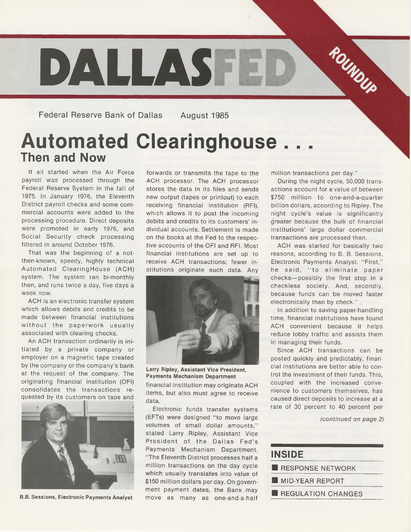

Federal Reserve Bank of Dallas August 1985

# **Automated Clearinghouse. Then and Now**

It all started when the Air Force payroll was processed through the Federal Reserve System in the fall of 1975. In January 1976, the Eleventh District payroll checks and some commercial accounts were added to the processing procedure. Direct deposits were promoted in early 1976, and Social Security check processing filtered in around October 1976.

That was the beginning of a notthen-known, speedy, highly technical Automated Clearinghouse (ACH) system. The system ran bi-monthly then, and runs twice a day, five days a week now.

ACH is an electronic transfer system which allows debits and credits to be made between financial institutions without the paperwork usually associated with clearing checks.

An ACH transaction ordinarily is initiated by a private company or employer on a magnetic tape created by the company or the company's bank at the request of the company. The originating financial institution (OFI) consolidates the transactions requested by its customers on tape and



**B.B. Sessions, Electronic Payments Analyst**

forwards or transmits the tape to the ACH processor. The ACH processor stores the data in its files and sends new output (tapes or printout) to each receiving financial institution (RFI), which allows it to post the incoming debits and credits to its customers' individual accounts. Settlement is made on the books at the Fed to the respective accounts of the OFI and RFI. Most financial institutions are set up to receive ACH transactions; fewer institutions originate such data. Any



**Larry Ripley, Assistant Vice President, Payments Mechanism Department**

financial institution may originate ACH items, but also must agree to receive data.

Electronic funds transfer systems (EFTs) were designed "to move large volumes of small dollar amounts," stated Larry Ripley, Assistant Vice President of the Dallas Fed's Payments Mechanism Department. " The Eleventh District processes half a million transactions on the day cycle which usually translates into value of \$150 million dollars per day. On government payment dates, the Bank may move as many as one-and-a-half

million transactions per day."

During the night cycle, 50,000 transactions account for a value of between \$750 million to one-and-a-quarter billion dollars, according to Ripley. The night cycle's value is significantly greater because the bulk of financial institutions' large dollar commercial transactions are processed then.

ACH was started for basically two reasons, according to B. B. Sessions, Electronic Payments Analyst. "First," he said, "to eliminate paper checks—possibly the first step in a checkless society. And, secondly, because funds can be moved faster electronically than by check."

In addition to saving paper-handling time, financial institutions have found ACH convenient because it helps reduce lobby traffic and assists them in managing their funds.

Since ACH transactions can be posted quickly and predictably, financial institutions are better able to control the investment of their funds. This, coupled with the increased convenience to customers themselves, has caused direct deposits to increase at a rate of 30 percent to 40 percent per

*(continued on page 2)*

| <b>INSIDE</b>           |  |
|-------------------------|--|
| <b>RESPONSE NETWORK</b> |  |
| <b>MID-YEAR REPORT</b>  |  |
| REGULATION CHANGES      |  |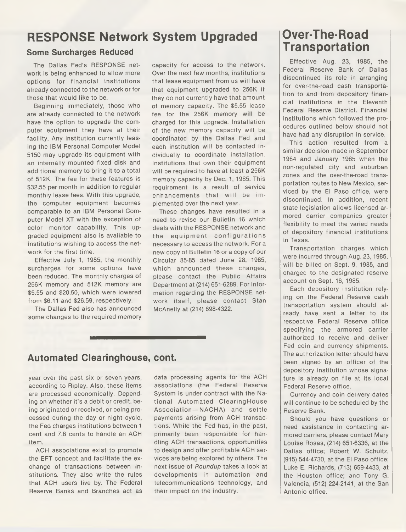## **RESPONSE Network System Upgraded**

#### **Some Surcharges Reduced**

The Dallas Fed's RESPONSE network is being enhanced to allow more options for financial institutions already connected to the network or for those that would like to be.

Beginning immediately, those who are already connected to the network have the option to upgrade the computer equipment they have at their facility. Any institution currently leasing the IBM Personal Computer Model 5150 may upgrade its equipment with an internally mounted fixed disk and additional memory to bring it to a total of 512K. The fee for these features is \$32.55 per month in addition to regular monthly lease fees. With this upgrade, the computer equipment becomes comparable to an IBM Personal Computer Model XT with the exception of color monitor capability. This upgraded equipment also is available to institutions wishing to access the network for the first time.

Effective July 1, 1985, the monthly surcharges for some options have been reduced. The monthly charges of 256K memory and 512K memory are \$5.55 and \$20.50, which were lowered from \$6.11 and \$26.59, respectively.

The Dallas Fed also has announced some changes to the required memory

capacity for access to the network. Over the next few months, institutions that lease equipment from us will have that equipment upgraded to 256K if they do not currently have that amount of memory capacity. The \$5.55 lease fee for the 256K memory will be charged for this upgrade. Installation of the new memory capacity will be coordinated by the Dallas Fed and each institution will be contacted individually to coordinate installation. Institutions that own their equipment will be required to have at least a 256K memory capacity by Dec. 1, 1985. This requirement is a result of service enhancements that will be implemented over the next year.

These changes have resulted in a need to revise our Bulletin 16 which deals with the RESPONSE network and the equipment configurations necessary to access the network. For a new copy of Bulletin 16 or a copy of our Circular 85-85 dated June 28, 1985, which announced these changes, please contact the Public Affairs Department at (214) 651-6289. For information regarding the RESPONSE network itself, please contact Stan McAnelly at (214) 698-4322.

### **Automated Clearinghouse, cont.**

year over the past six or seven years, according to Ripley. Also, these items are processed economically. Depending on whether it's a debit or credit, being originated or received, or being processed during the day or night cycle, the Fed charges institutions between 1 cent and 7.8 cents to handle an ACH item.

ACH associations exist to promote the EFT concept and facilitate the exchange of transactions between institutions. They also write the rules that ACH users live by. The Federal Reserve Banks and Branches act as

data processing agents for the ACH associations (the Federal Reserve System is under contract with the National Automated ClearingHouse Association —NACHA) and settle payments arising from ACH transactions. While the Fed has, in the past, primarily been responsible for handling ACH transactions, opportunities to design and offer profitable ACH services are being explored by others. The next issue of *Roundup* takes a look at developments in automation and telecommunications technology, and their impact on the industry.

# **Over-The-Road Transportation**

Effective Aug. 23, 1985, the Federal Reserve Bank of Dallas discontinued its role in arranging for over-the-road cash transportation to and from depository financial institutions in the Eleventh Federal Reserve District. Financial institutions which followed the procedures outlined below should not have had any disruption in service.

This action resulted from a similar decision made in September 1984 and January 1985 when the non-regulated city and suburban zones and the over-the-road transportation routes to New Mexico, serviced by the El Paso office, were discontinued. In addition, recent state legislation allows licensed armored carrier companies greater flexibility to meet the varied needs of depository financial institutions in Texas.

Transportation charges which were incurred through Aug. 23,1985, will be billed on Sept. 9, 1985, and charged to the designated reserve account on Sept. 16, 1985.

Each depository institution relying on the Federal Reserve cash transportation system should already have sent a letter to its respective Federal Reserve office specifying the armored carrier authorized to receive and deliver Fed coin and currency shipments. The authorization letter should have been signed by an officer of the depository institution whose signature is already on file at its local Federal Reserve office.

Currency and coin delivery dates will continue to be scheduled by the Reserve Bank.

Should you have questions or need assistance in contacting armored carriers, please contact Mary Louise Rosas, (214) 651-6336, at the Dallas office; Robert W. Schultz, (915) 544-4730, at the El Paso office; Luke E. Richards, (713) 659-4433, at the Houston office; and Tony G. Valencia, (512) 224-2141, at the San Antonio office.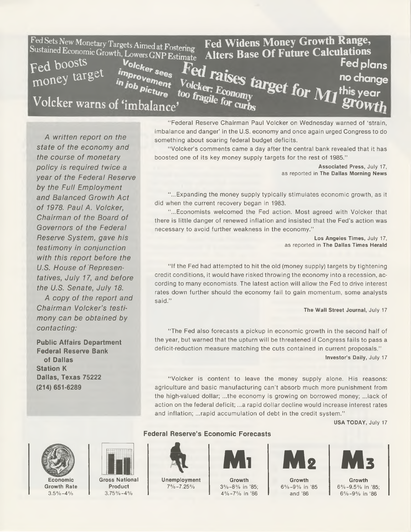| Fed Sets New Monetary Targets Aimed at Fostering<br>Fed Widens Money Growth Range,<br>Alters Base Of Future Calculations<br>Sustained Economic Growth, Lowers GNP Estimate |  |
|----------------------------------------------------------------------------------------------------------------------------------------------------------------------------|--|
| Fed boosts<br>Volcker sees<br>sees Fed raises target for M1 <sup>this year</sup><br>money target<br><i>improvement</i>                                                     |  |
| in job picture too fragile for curbs                                                                                                                                       |  |
| Volcker warns of 'imbalance'                                                                                                                                               |  |

**A** *written report on the state of the economy and the course of monetary policy is required twice a year of the Federal Reserve by the Full Employment and Balanced Growth Act of 1978. Paul A. Volcker, Chairman of the Board of Governors of the Federal Reserve System, gave his testimony in conjunction with this report before the U.S. House of Representatives, July 17, and before the U.S. Senate, July 18.*

*A copy of the report and Chairman Volcker's testimony can be obtained by contacting:*

**Public Affairs Department Federal Reserve Bank of Dallas Station K Dallas, Texas 75222 (214) 651-6289**

" Federal Reserve Chairman Paul Volcker on Wednesday warned of 'strain, imbalance and danger' in the U.S. economy and once again urged Congress to do something about soaring federal budget deficits.

" Volcker's comments came a day after the central bank revealed that it has boosted one of its key money supply targets for the rest of 1985."

> **Associated Press,** July 17, as reported in **The Dallas Morning News**

" ...Expanding the money supply typically stimulates economic growth, as it did when the current recovery began in 1983.

" ...Economists welcomed the Fed action. Most agreed with Volcker that there is little danger of renewed inflation and insisted that the Fed's action was necessary to avoid further weakness in the economy."

> **Los Angeles Times,** July 17, as reported in **The Dallas Times Herald**

" If the Fed had attempted to hit the old (money supply) targets by tightening credit conditions, it would have risked throwing the economy into a recession, according to many economists. The latest action will allow the Fed to drive interest rates down further should the economy fail to gain momentum, some analysts said."

**The Wall Street Journal,** July 17

"The Fed also forecasts a pickup in economic growth in the second half of the year, but warned that the upturn will be threatened if Congress fails to pass a deficit-reduction measure matching the cuts contained in current proposals." **Investor's Daily,** July 17

"Volcker is content to leave the money supply alone. His reasons: agriculture and basic manufacturing can't absorb much more punishment from the high-valued dollar; ...the economy is growing on borrowed money; ...lack of action on the federal deficit; ...a rapid dollar decline would increase interest rates and inflation; ...rapid accumulation of debt in the credit system."

**USA TODAY,** July 17



**Economic Growth Rate**  $3.5\% - 4\%$ 



**Gross National Product 3.75%-4%**

**Federal Reserve's Economic Forecasts** 



**Unemployment 7%-7.25%**



**Growth 3% -8% in '85; 4% -7% in '86**



**Growth 6% -9% in '85 and '86**



**Growth 6%-9.5% in '85; 6% -9% in '86**